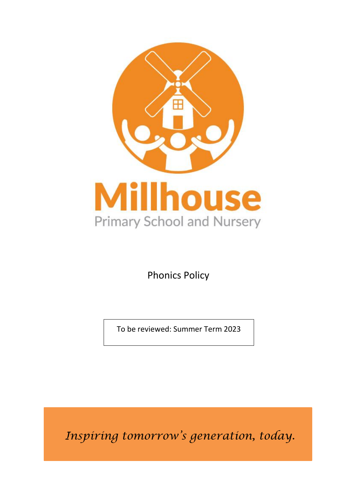

Phonics Policy

To be reviewed: Summer Term 2023

*Inspiring tomorrow's generation, today.*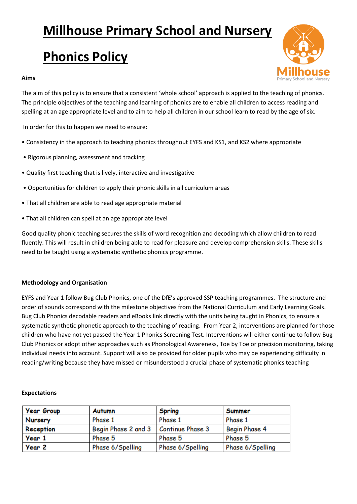## **Millhouse Primary School and Nursery**

# **Phonics Policy**

## **Aims**



The aim of this policy is to ensure that a consistent 'whole school' approach is applied to the teaching of phonics. The principle objectives of the teaching and learning of phonics are to enable all children to access reading and spelling at an age appropriate level and to aim to help all children in our school learn to read by the age of six.

In order for this to happen we need to ensure:

- Consistency in the approach to teaching phonics throughout EYFS and KS1, and KS2 where appropriate
- Rigorous planning, assessment and tracking
- Quality first teaching that is lively, interactive and investigative
- Opportunities for children to apply their phonic skills in all curriculum areas
- That all children are able to read age appropriate material
- That all children can spell at an age appropriate level

Good quality phonic teaching secures the skills of word recognition and decoding which allow children to read fluently. This will result in children being able to read for pleasure and develop comprehension skills. These skills need to be taught using a systematic synthetic phonics programme.

## **Methodology and Organisation**

EYFS and Year 1 follow Bug Club Phonics, one of the DfE's approved SSP teaching programmes. The structure and order of sounds correspond with the milestone objectives from the National Curriculum and Early Learning Goals. Bug Club Phonics decodable readers and eBooks link directly with the units being taught in Phonics, to ensure a systematic synthetic phonetic approach to the teaching of reading. From Year 2, interventions are planned for those children who have not yet passed the Year 1 Phonics Screening Test. Interventions will either continue to follow Bug Club Phonics or adopt other approaches such as Phonological Awareness, Toe by Toe or precision monitoring, taking individual needs into account. Support will also be provided for older pupils who may be experiencing difficulty in reading/writing because they have missed or misunderstood a crucial phase of systematic phonics teaching

## **Expectations**

| <b>Year Group</b> | <b>Autumn</b>       | <b>Spring</b>    | Summer           |
|-------------------|---------------------|------------------|------------------|
| Nursery           | Phase 1             | Phase 1          | Phase 1          |
| Reception         | Begin Phase 2 and 3 | Continue Phase 3 | Begin Phase 4    |
| Year 1            | Phase 5             | Phase 5          | Phase 5          |
| Year 2            | Phase 6/Spelling    | Phase 6/Spelling | Phase 6/Spelling |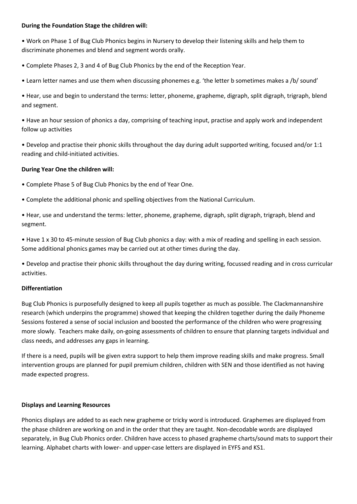#### **During the Foundation Stage the children will:**

• Work on Phase 1 of Bug Club Phonics begins in Nursery to develop their listening skills and help them to discriminate phonemes and blend and segment words orally.

• Complete Phases 2, 3 and 4 of Bug Club Phonics by the end of the Reception Year.

• Learn letter names and use them when discussing phonemes e.g. 'the letter b sometimes makes a /b/ sound'

• Hear, use and begin to understand the terms: letter, phoneme, grapheme, digraph, split digraph, trigraph, blend and segment.

• Have an hour session of phonics a day, comprising of teaching input, practise and apply work and independent follow up activities

• Develop and practise their phonic skills throughout the day during adult supported writing, focused and/or 1:1 reading and child-initiated activities.

## **During Year One the children will:**

• Complete Phase 5 of Bug Club Phonics by the end of Year One.

• Complete the additional phonic and spelling objectives from the National Curriculum.

• Hear, use and understand the terms: letter, phoneme, grapheme, digraph, split digraph, trigraph, blend and segment.

• Have 1 x 30 to 45-minute session of Bug Club phonics a day: with a mix of reading and spelling in each session. Some additional phonics games may be carried out at other times during the day.

• Develop and practise their phonic skills throughout the day during writing, focussed reading and in cross curricular activities.

## **Differentiation**

Bug Club Phonics is purposefully designed to keep all pupils together as much as possible. The Clackmannanshire research (which underpins the programme) showed that keeping the children together during the daily Phoneme Sessions fostered a sense of social inclusion and boosted the performance of the children who were progressing more slowly. Teachers make daily, on-going assessments of children to ensure that planning targets individual and class needs, and addresses any gaps in learning.

If there is a need, pupils will be given extra support to help them improve reading skills and make progress. Small intervention groups are planned for pupil premium children, children with SEN and those identified as not having made expected progress.

## **Displays and Learning Resources**

Phonics displays are added to as each new grapheme or tricky word is introduced. Graphemes are displayed from the phase children are working on and in the order that they are taught. Non-decodable words are displayed separately, in Bug Club Phonics order. Children have access to phased grapheme charts/sound mats to support their learning. Alphabet charts with lower- and upper-case letters are displayed in EYFS and KS1.